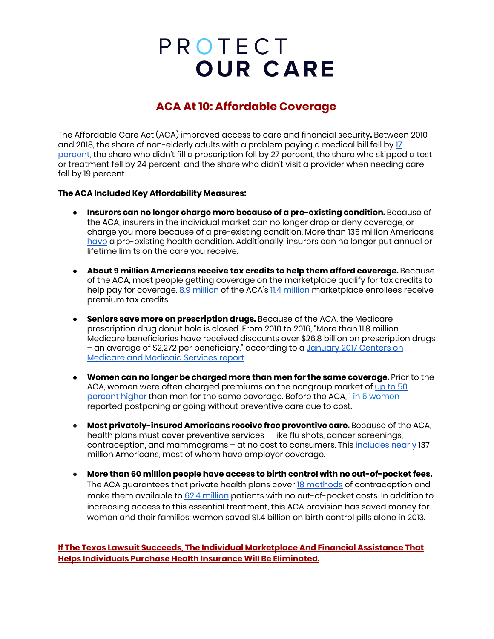# PROTECT **OUR CARE**

### **ACA At 10: Affordable Coverage**

The Affordable Care Act (ACA) improved access to care and financial security**.** Between 2010 and 2018, the share of non-elderly adults with a problem paying a medical bill fell by [17](https://www.cbpp.org/research/health/chart-book-accomplishments-of-affordable-care-act) [percent,](https://www.cbpp.org/research/health/chart-book-accomplishments-of-affordable-care-act) the share who didn't fill a prescription fell by 27 percent, the share who skipped a test or treatment fell by 24 percent, and the share who didn't visit a provider when needing care fell by 19 percent.

#### **The ACA Included Key Affordability Measures:**

- **Insurers can no longer charge more because of a pre-existing condition.** Because of the ACA, insurers in the individual market can no longer drop or deny coverage, or charge you more because of a pre-existing condition. More than 135 million Americans [have](https://www.americanprogress.org/issues/healthcare/news/2019/10/02/475030/number-americans-preexisting-conditions-district-116th-congress/) a pre-existing health condition. Additionally, insurers can no longer put annual or lifetime limits on the care you receive.
- **About 9 million Americans receive tax credits to help them afford coverage.** Because of the ACA, most people getting coverage on the marketplace qualify for tax credits to help pay for coverage. 8.9 [million](https://www.kff.org/health-reform/state-indicator/marketplace-enrollment/?currentTimeframe=0&sortModel=%7B%22colId%22:%22Location%22,%22sort%22:%22asc%22%7D) of the ACA's 11.4 million marketplace enrollees receive premium tax credits.
- **Seniors save more on prescription drugs.** Because of the ACA, the Medicare prescription drug donut hole is closed. From 2010 to 2016, "More than 11.8 million Medicare beneficiaries have received discounts over \$26.8 billion on prescription drugs - an average of \$2,272 per beneficiary," according to a [January](https://www.cms.gov/newsroom/press-releases/nearly-12-million-people-medicare-have-saved-over-26-billion-prescription-drugs-2010) 2017 Centers on [Medicare](https://www.cms.gov/newsroom/press-releases/nearly-12-million-people-medicare-have-saved-over-26-billion-prescription-drugs-2010) and Medicaid Services report.
- **Women can no longer be charged more than men for the same coverage.** Prior to the ACA, women were often charged premiums on the nongroup market of [up](https://www.nwlc.org/sites/default/files/pdfs/nwlc_2012_turningtofairness_report.pdf) to 50 [percent](https://www.nwlc.org/sites/default/files/pdfs/nwlc_2012_turningtofairness_report.pdf) higher than men for the same coverage. Before the ACA, 1 in 5 [women](https://www.kff.org/health-reform/fact-sheet/potential-impact-of-texas-v-u-s-decision-on-key-provisions-of-the-affordable-care-act/) reported postponing or going without preventive care due to cost.
- **Most privately-insured Americans receive free preventive care.** Because of the ACA, health plans must cover preventive services — like flu shots, cancer screenings, contraception, and mammograms – at no cost to consumers. This [includes](https://aspe.hhs.gov/compilation-state-data-affordable-care-act) nearly 137 million Americans, most of whom have employer coverage.
- **More than 60 million people have access to birth control with no out-of-pocket fees.** The ACA guarantees that private health plans cover 18 [methods](https://www.americanprogress.org/issues/women/news/2017/10/06/440492/contraceptive-coverage-affordable-care-act/) of contraception and make them available to 62.4 [million](https://nwlc.org/resources/new-data-estimate-62-4-million-women-have-coverage-of-birth-control-without-out-of-pocket-costs/) patients with no out-of-pocket costs. In addition to increasing access to this essential treatment, this ACA provision has saved money for women and their families: women saved \$1.4 billion on birth control pills alone in 2013.

### **If The Texas Lawsuit Succeeds, The Individual Marketplace And Financial Assistance That Helps Individuals Purchase Health Insurance Will Be Eliminated.**